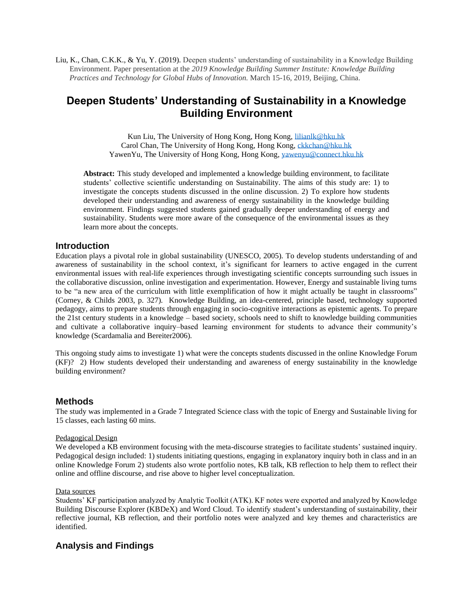Liu, K., Chan, C.K.K., & Yu, Y. (2019). Deepen students' understanding of sustainability in a Knowledge Building Environment. Paper presentation at the *2019 Knowledge Building Summer Institute: Knowledge Building Practices and Technology for Global Hubs of Innovation.* March 15-16, 2019, Beijing, China.

# **Deepen Students' Understanding of Sustainability in a Knowledge Building Environment**

Kun Liu, The University of Hong Kong, Hong Kong, [lilianlk@hku.hk](mailto:lilianlk@hku.hk) Carol Chan, The University of Hong Kong, Hong Kong, [ckkchan@hku.hk](mailto:ckkchan@hku.hk) YawenYu, The University of Hong Kong, Hong Kong[, yawenyu@connect.hku.hk](mailto:yawenyu@connect.hku.hk)

**Abstract:** This study developed and implemented a knowledge building environment, to facilitate students' collective scientific understanding on Sustainability. The aims of this study are: 1) to investigate the concepts students discussed in the online discussion. 2) To explore how students developed their understanding and awareness of energy sustainability in the knowledge building environment. Findings suggested students gained gradually deeper understanding of energy and sustainability. Students were more aware of the consequence of the environmental issues as they learn more about the concepts.

# **Introduction**

Education plays a pivotal role in global sustainability (UNESCO, 2005). To develop students understanding of and awareness of sustainability in the school context, it's significant for learners to active engaged in the current environmental issues with real-life experiences through investigating scientific concepts surrounding such issues in the collaborative discussion, online investigation and experimentation. However, Energy and sustainable living turns to be "a new area of the curriculum with little exemplification of how it might actually be taught in classrooms" (Corney, & Childs 2003, p. 327). Knowledge Building, an idea-centered, principle based, technology supported pedagogy, aims to prepare students through engaging in socio-cognitive interactions as epistemic agents. To prepare the 21st century students in a knowledge – based society, schools need to shift to knowledge building communities and cultivate a collaborative inquiry–based learning environment for students to advance their community's knowledge (Scardamalia and Bereiter2006).

This ongoing study aims to investigate 1) what were the concepts students discussed in the online Knowledge Forum (KF)? 2) How students developed their understanding and awareness of energy sustainability in the knowledge building environment?

## **Methods**

The study was implemented in a Grade 7 Integrated Science class with the topic of Energy and Sustainable living for 15 classes, each lasting 60 mins.

#### Pedagogical Design

We developed a KB environment focusing with the meta-discourse strategies to facilitate students' sustained inquiry. Pedagogical design included: 1) students initiating questions, engaging in explanatory inquiry both in class and in an online Knowledge Forum 2) students also wrote portfolio notes, KB talk, KB reflection to help them to reflect their online and offline discourse, and rise above to higher level conceptualization.

#### Data sources

Students' KF participation analyzed by Analytic Toolkit (ATK). KF notes were exported and analyzed by Knowledge Building Discourse Explorer (KBDeX) and Word Cloud. To identify student's understanding of sustainability, their reflective journal, KB reflection, and their portfolio notes were analyzed and key themes and characteristics are identified.

# **Analysis and Findings**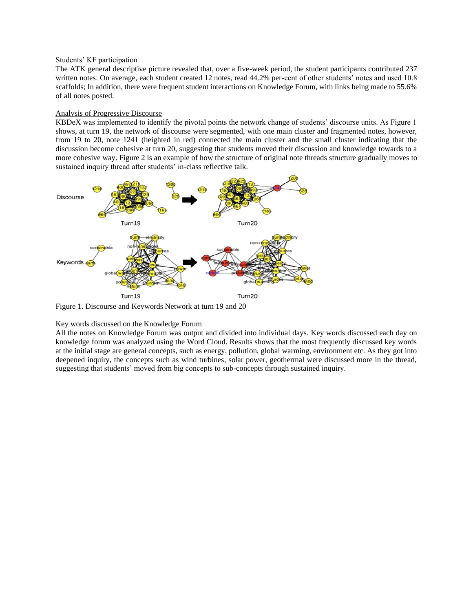#### Students' KF participation

The ATK general descriptive picture revealed that, over a five-week period, the student participants contributed 237 written notes. On average, each student created 12 notes, read 44.2% per-cent of other students' notes and used 10.8 scaffolds; In addition, there were frequent student interactions on Knowledge Forum, with links being made to 55.6% of all notes posted.

#### Analysis of Progressive Discourse

KBDeX was implemented to identify the pivotal points the network change of students' discourse units. As Figure 1 shows, at turn 19, the network of discourse were segmented, with one main cluster and fragmented notes, however, from 19 to 20, note 1241 (heighted in red) connected the main cluster and the small cluster indicating that the discussion become cohesive at turn 20, suggesting that students moved their discussion and knowledge towards to a more cohesive way. Figure 2 is an example of how the structure of original note threads structure gradually moves to sustained inquiry thread after students' in-class reflective talk.



Figure 1. Discourse and Keywords Network at turn 19 and 20

#### Key words discussed on the Knowledge Forum

All the notes on Knowledge Forum was output and divided into individual days. Key words discussed each day on knowledge forum was analyzed using the Word Cloud. Results shows that the most frequently discussed key words at the initial stage are general concepts, such as energy, pollution, global warming, environment etc. As they got into deepened inquiry, the concepts such as wind turbines, solar power, geothermal were discussed more in the thread, suggesting that students' moved from big concepts to sub-concepts through sustained inquiry.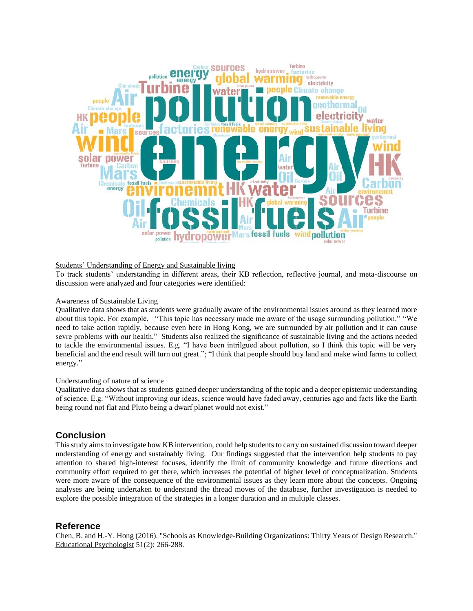

#### Students' Understanding of Energy and Sustainable living

To track students' understanding in different areas, their KB reflection, reflective journal, and meta-discourse on discussion were analyzed and four categories were identified:

#### Awareness of Sustainable Living

Qualitative data shows that as students were gradually aware of the environmental issues around as they learned more about this topic. For example, "This topic has necessary made me aware of the usage surrounding pollution." "We need to take action rapidly, because even here in Hong Kong, we are surrounded by air pollution and it can cause sevre problems with our health." Students also realized the significance of sustainable living and the actions needed to tackle the environmental issues. E.g. "I have been intrilgued about pollution, so I think this topic will be very beneficial and the end result will turn out great."; "I think that people should buy land and make wind farms to collect energy."

### Understanding of nature of science

Qualitative data shows that as students gained deeper understanding of the topic and a deeper epistemic understanding of science. E.g. "Without improving our ideas, science would have faded away, centuries ago and facts like the Earth being round not flat and Pluto being a dwarf planet would not exist."

## **Conclusion**

This study aims to investigate how KB intervention, could help students to carry on sustained discussion toward deeper understanding of energy and sustainably living. Our findings suggested that the intervention help students to pay attention to shared high-interest focuses, identify the limit of community knowledge and future directions and community effort required to get there, which increases the potential of higher level of conceptualization. Students were more aware of the consequence of the environmental issues as they learn more about the concepts. Ongoing analyses are being undertaken to understand the thread moves of the database, further investigation is needed to explore the possible integration of the strategies in a longer duration and in multiple classes.

# **Reference**

Chen, B. and H.-Y. Hong (2016). "Schools as Knowledge-Building Organizations: Thirty Years of Design Research." Educational Psychologist 51(2): 266-288.